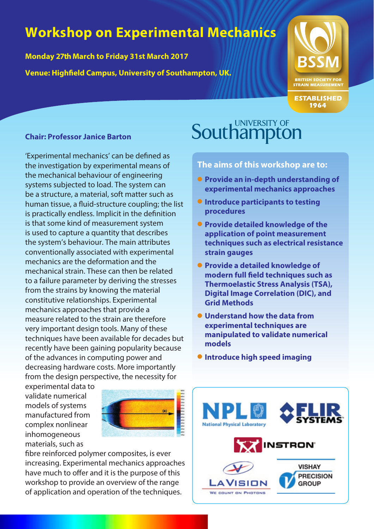# **Workshop on Experimental Mechanics**

**Monday 27th March to Friday 31st March 2017 Venue: Highfield Campus, University of Southampton, UK.**



**ESTABLISHED** 1964

#### **Chair: Professor Janice Barton**

'Experimental mechanics' can be defined as the investigation by experimental means of the mechanical behaviour of engineering systems subjected to load. The system can be a structure, a material, soft matter such as human tissue, a fluid-structure coupling; the list is practically endless. Implicit in the definition is that some kind of measurement system is used to capture a quantity that describes the system's behaviour. The main attributes conventionally associated with experimental mechanics are the deformation and the mechanical strain. These can then be related to a failure parameter by deriving the stresses from the strains by knowing the material constitutive relationships. Experimental mechanics approaches that provide a measure related to the strain are therefore very important design tools. Many of these techniques have been available for decades but recently have been gaining popularity because of the advances in computing power and decreasing hardware costs. More importantly from the design perspective, the necessity for

experimental data to validate numerical models of systems manufactured from complex nonlinear inhomogeneous materials, such as



fibre reinforced polymer composites, is ever increasing. Experimental mechanics approaches have much to offer and it is the purpose of this workshop to provide an overview of the range of application and operation of the techniques.

### **UNIVERSITY OF Southampton**

**The aims of this workshop are to:**

- **Provide an in-depth understanding of experimental mechanics approaches**
- $\bullet$  **Introduce participants to testing procedures**
- **Provide detailed knowledge of the application of point measurement techniques such as electrical resistance strain gauges**
- **Provide a detailed knowledge of modern full field techniques such as Thermoelastic Stress Analysis (TSA), Digital Image Correlation (DIC), and Grid Methods**
- l **Understand how the data from experimental techniques are manipulated to validate numerical models**
- $\bullet$  **Introduce high speed imaging**

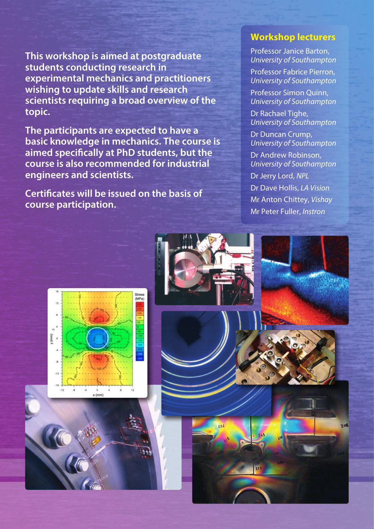**This workshop is aimed at postgraduate students conducting research in experimental mechanics and practitioners wishing to update skills and research scientists requiring a broad overview of the topic.** 

**The participants are expected to have a basic knowledge in mechanics. The course is aimed specifically at PhD students, but the course is also recommended for industrial engineers and scientists.**

**Certificates will be issued on the basis of course participation.**

#### **Workshop lecturers**

Professor Janice Barton, *University of Southampton*

Professor Fabrice Pierron, *University of Southampton*

Professor Simon Quinn, *University of Southampton*

Dr Rachael Tighe, *University of Southampton*

Dr Duncan Crump, *University of Southampton*

Dr Andrew Robinson, *University of Southampton*

Dr Jerry Lord, *NPL*

Dr Dave Hollis, *LA Vision* Mr Anton Chittey, *Vishay* Mr Peter Fuller, *Instron*

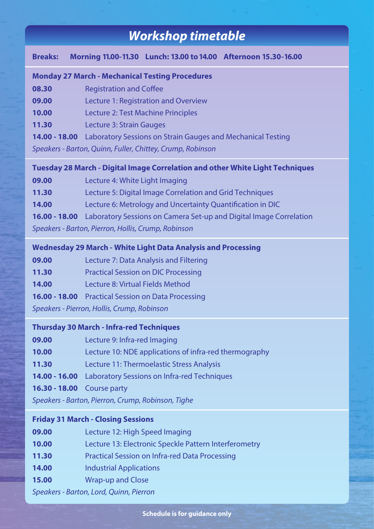### *Workshop timetable*

#### **Breaks: Morning 11.00-11.30 Lunch: 13.00 to 14.00 Afternoon 15.30-16.00**

#### **Monday 27 March - Mechanical Testing Procedures**

- **08.30** Registration and Coffee
- **09.00** Lecture 1: Registration and Overview
- **10.00** Lecture 2: Test Machine Principles

**11.30** Lecture 3: Strain Gauges

**14.00 - 18.00** Laboratory Sessions on Strain Gauges and Mechanical Testing

*Speakers - Barton, Quinn, Fuller, Chittey, Crump, Robinson*

#### **Tuesday 28 March - Digital Image Correlation and other White Light Techniques**

| 09.00                                               | Lecture 4: White Light Imaging                                                          |  |  |
|-----------------------------------------------------|-----------------------------------------------------------------------------------------|--|--|
| 11.30                                               | Lecture 5: Digital Image Correlation and Grid Techniques                                |  |  |
| 14.00                                               | Lecture 6: Metrology and Uncertainty Quantification in DIC                              |  |  |
|                                                     | <b>16.00 - 18.00</b> Laboratory Sessions on Camera Set-up and Digital Image Correlation |  |  |
| Speakers - Barton, Pierron, Hollis, Crump, Robinson |                                                                                         |  |  |

#### **Wednesday 29 March - White Light Data Analysis and Processing**

| Lecture 7: Data Analysis and Filtering<br>09.00 |  |
|-------------------------------------------------|--|
|-------------------------------------------------|--|

**11.30** Practical Session on DIC Processing

**14.00** Lecture 8: Virtual Fields Method

**16.00 - 18.00** Practical Session on Data Processing

*Speakers - Pierron, Hollis, Crump, Robinson*

#### **Thursday 30 March - Infra-red Techniques**

| 09.00 | Lecture 9: Infra-red Imaging |  |  |
|-------|------------------------------|--|--|
|-------|------------------------------|--|--|

- **10.00** Lecture 10: NDE applications of infra-red thermography
- **11.30** Lecture 11: Thermoelastic Stress Analysis
- **14.00 16.00** Laboratory Sessions on Infra-red Techniques

**16.30 - 18.00** Course party

*Speakers - Barton, Pierron, Crump, Robinson, Tighe*

#### **Friday 31 March - Closing Sessions**

| 09.00                                   | Lecture 12: High Speed Imaging                        |  |
|-----------------------------------------|-------------------------------------------------------|--|
| 10.00                                   | Lecture 13: Electronic Speckle Pattern Interferometry |  |
| 11.30                                   | Practical Session on Infra-red Data Processing        |  |
| 14.00                                   | <b>Industrial Applications</b>                        |  |
| 15.00                                   | <b>Wrap-up and Close</b>                              |  |
| Speakers - Barton, Lord, Quinn, Pierron |                                                       |  |